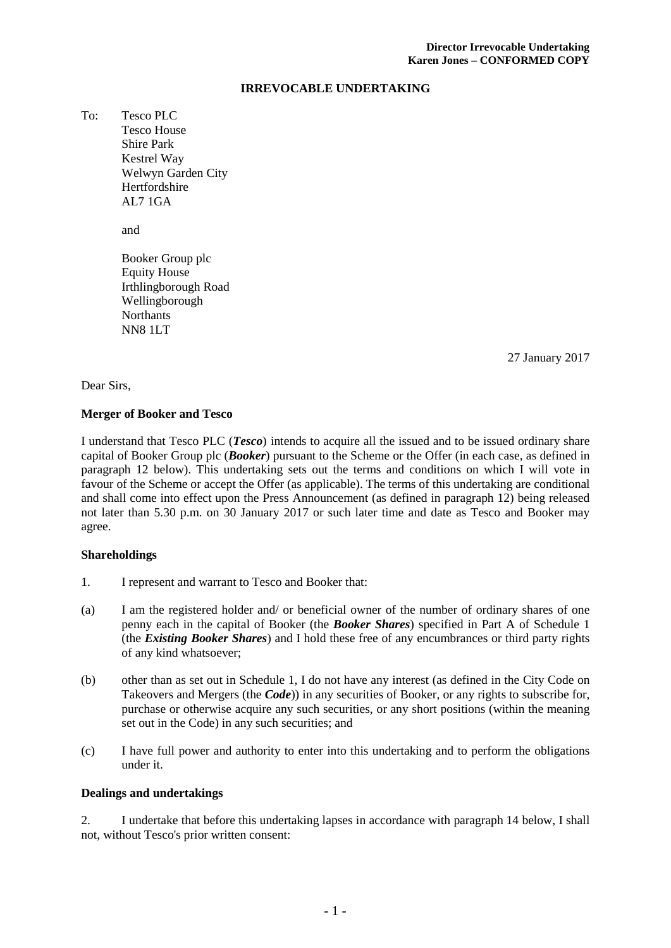# **IRREVOCABLE UNDERTAKING**

To: Tesco PLC Tesco House Shire Park Kestrel Way Welwyn Garden City **Hertfordshire** AL7 1GA

and

Booker Group plc Equity House Irthlingborough Road Wellingborough **Northants** NN8 1LT

27 January 2017

Dear Sirs,

# **Merger of Booker and Tesco**

I understand that Tesco PLC (*Tesco*) intends to acquire all the issued and to be issued ordinary share capital of Booker Group plc (*Booker*) pursuant to the Scheme or the Offer (in each case, as defined in paragraph [12 below\)](#page-4-0). This undertaking sets out the terms and conditions on which I will vote in favour of the Scheme or accept the Offer (as applicable). The terms of this undertaking are conditional and shall come into effect upon the Press Announcement (as defined in paragraph [12\)](#page-4-0) being released not later than 5.30 p.m. on 30 January 2017 or such later time and date as Tesco and Booker may agree.

# **Shareholdings**

- 1. I represent and warrant to Tesco and Booker that:
- (a) I am the registered holder and/ or beneficial owner of the number of ordinary shares of one penny each in the capital of Booker (the *Booker Shares*) specified in Part A of Schedule 1 (the *Existing Booker Shares*) and I hold these free of any encumbrances or third party rights of any kind whatsoever;
- (b) other than as set out in Schedule 1, I do not have any interest (as defined in the City Code on Takeovers and Mergers (the *Code*)) in any securities of Booker, or any rights to subscribe for, purchase or otherwise acquire any such securities, or any short positions (within the meaning set out in the Code) in any such securities; and
- (c) I have full power and authority to enter into this undertaking and to perform the obligations under it.

### **Dealings and undertakings**

<span id="page-0-0"></span>2. I undertake that before this undertaking lapses in accordance with paragraph [14](#page-5-0) below, I shall not, without Tesco's prior written consent: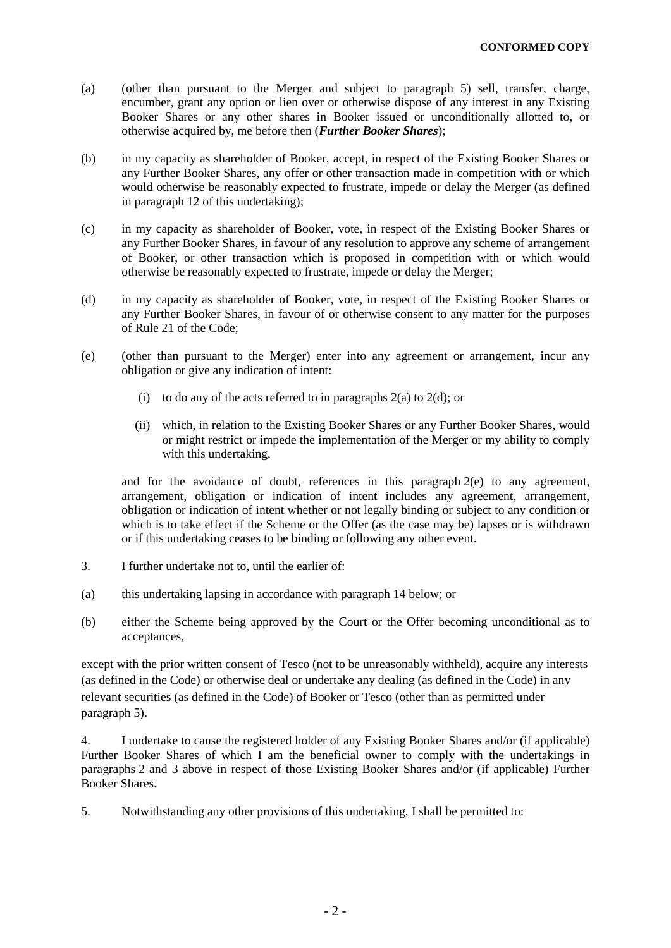- <span id="page-1-1"></span>(a) (other than pursuant to the Merger and subject to paragraph [5\)](#page-1-0) sell, transfer, charge, encumber, grant any option or lien over or otherwise dispose of any interest in any Existing Booker Shares or any other shares in Booker issued or unconditionally allotted to, or otherwise acquired by, me before then (*Further Booker Shares*);
- (b) in my capacity as shareholder of Booker, accept, in respect of the Existing Booker Shares or any Further Booker Shares, any offer or other transaction made in competition with or which would otherwise be reasonably expected to frustrate, impede or delay the Merger (as defined in paragraph [12](#page-4-0) of this undertaking);
- (c) in my capacity as shareholder of Booker, vote, in respect of the Existing Booker Shares or any Further Booker Shares, in favour of any resolution to approve any scheme of arrangement of Booker, or other transaction which is proposed in competition with or which would otherwise be reasonably expected to frustrate, impede or delay the Merger;
- <span id="page-1-2"></span>(d) in my capacity as shareholder of Booker, vote, in respect of the Existing Booker Shares or any Further Booker Shares, in favour of or otherwise consent to any matter for the purposes of Rule 21 of the Code;
- <span id="page-1-3"></span>(e) (other than pursuant to the Merger) enter into any agreement or arrangement, incur any obligation or give any indication of intent:
	- (i) to do any of the acts referred to in paragraphs  $2(a)$  to  $2(d)$ ; or
	- (ii) which, in relation to the Existing Booker Shares or any Further Booker Shares, would or might restrict or impede the implementation of the Merger or my ability to comply with this undertaking,

and for the avoidance of doubt, references in this paragraph [2\(e\)](#page-1-3) to any agreement, arrangement, obligation or indication of intent includes any agreement, arrangement, obligation or indication of intent whether or not legally binding or subject to any condition or which is to take effect if the Scheme or the Offer (as the case may be) lapses or is withdrawn or if this undertaking ceases to be binding or following any other event.

- <span id="page-1-4"></span>3. I further undertake not to, until the earlier of:
- (a) this undertaking lapsing in accordance with paragraph [14](#page-5-0) below; or
- (b) either the Scheme being approved by the Court or the Offer becoming unconditional as to acceptances,

except with the prior written consent of Tesco (not to be unreasonably withheld), acquire any interests (as defined in the Code) or otherwise deal or undertake any dealing (as defined in the Code) in any relevant securities (as defined in the Code) of Booker or Tesco (other than as permitted under paragrap[h 5\)](#page-1-0).

<span id="page-1-5"></span>4. I undertake to cause the registered holder of any Existing Booker Shares and/or (if applicable) Further Booker Shares of which I am the beneficial owner to comply with the undertakings in paragraphs [2](#page-0-0) and [3](#page-1-4) above in respect of those Existing Booker Shares and/or (if applicable) Further Booker Shares.

<span id="page-1-0"></span>5. Notwithstanding any other provisions of this undertaking, I shall be permitted to: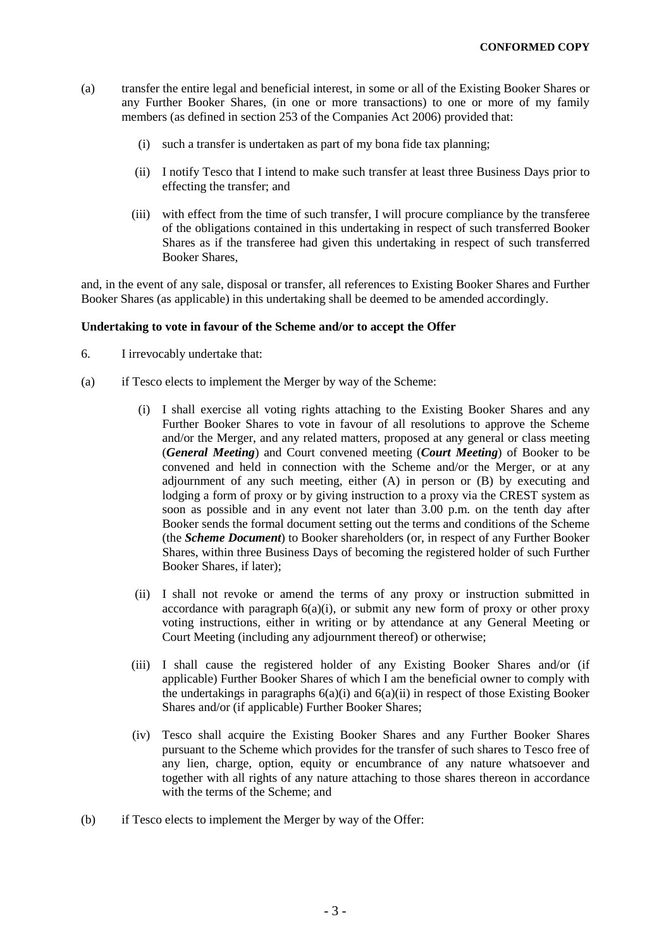- (a) transfer the entire legal and beneficial interest, in some or all of the Existing Booker Shares or any Further Booker Shares, (in one or more transactions) to one or more of my family members (as defined in section 253 of the Companies Act 2006) provided that:
	- (i) such a transfer is undertaken as part of my bona fide tax planning;
	- (ii) I notify Tesco that I intend to make such transfer at least three Business Days prior to effecting the transfer; and
	- (iii) with effect from the time of such transfer, I will procure compliance by the transferee of the obligations contained in this undertaking in respect of such transferred Booker Shares as if the transferee had given this undertaking in respect of such transferred Booker Shares,

and, in the event of any sale, disposal or transfer, all references to Existing Booker Shares and Further Booker Shares (as applicable) in this undertaking shall be deemed to be amended accordingly.

### **Undertaking to vote in favour of the Scheme and/or to accept the Offer**

- <span id="page-2-0"></span>6. I irrevocably undertake that:
- <span id="page-2-3"></span><span id="page-2-2"></span><span id="page-2-1"></span>(a) if Tesco elects to implement the Merger by way of the Scheme:
	- (i) I shall exercise all voting rights attaching to the Existing Booker Shares and any Further Booker Shares to vote in favour of all resolutions to approve the Scheme and/or the Merger, and any related matters, proposed at any general or class meeting (*General Meeting*) and Court convened meeting (*Court Meeting*) of Booker to be convened and held in connection with the Scheme and/or the Merger, or at any adjournment of any such meeting, either (A) in person or (B) by executing and lodging a form of proxy or by giving instruction to a proxy via the CREST system as soon as possible and in any event not later than 3.00 p.m. on the tenth day after Booker sends the formal document setting out the terms and conditions of the Scheme (the *Scheme Document*) to Booker shareholders (or, in respect of any Further Booker Shares, within three Business Days of becoming the registered holder of such Further Booker Shares, if later);
	- (ii) I shall not revoke or amend the terms of any proxy or instruction submitted in accordance with paragraph  $6(a)(i)$  $6(a)(i)$ , or submit any new form of proxy or other proxy voting instructions, either in writing or by attendance at any General Meeting or Court Meeting (including any adjournment thereof) or otherwise;
	- (iii) I shall cause the registered holder of any Existing Booker Shares and/or (if applicable) Further Booker Shares of which I am the beneficial owner to comply with the undertakings in paragraphs  $6(a)(i)$  $6(a)(i)$  and  $6(a)(ii)$  $6(a)(ii)$  in respect of those Existing Booker Shares and/or (if applicable) Further Booker Shares;
	- (iv) Tesco shall acquire the Existing Booker Shares and any Further Booker Shares pursuant to the Scheme which provides for the transfer of such shares to Tesco free of any lien, charge, option, equity or encumbrance of any nature whatsoever and together with all rights of any nature attaching to those shares thereon in accordance with the terms of the Scheme; and
- (b) if Tesco elects to implement the Merger by way of the Offer: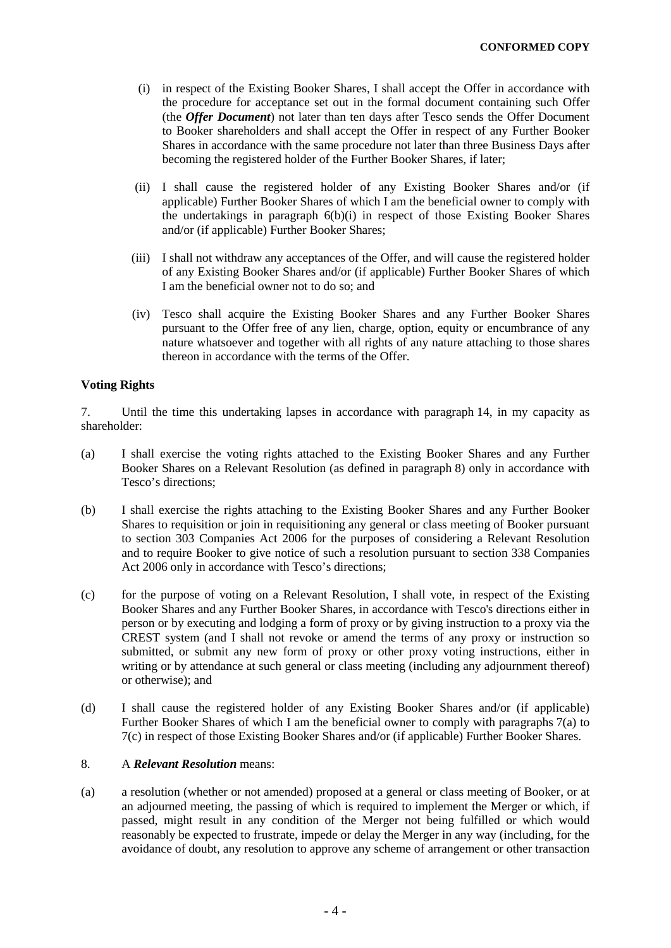- <span id="page-3-0"></span>(i) in respect of the Existing Booker Shares, I shall accept the Offer in accordance with the procedure for acceptance set out in the formal document containing such Offer (the *Offer Document*) not later than ten days after Tesco sends the Offer Document to Booker shareholders and shall accept the Offer in respect of any Further Booker Shares in accordance with the same procedure not later than three Business Days after becoming the registered holder of the Further Booker Shares, if later;
- (ii) I shall cause the registered holder of any Existing Booker Shares and/or (if applicable) Further Booker Shares of which I am the beneficial owner to comply with the undertakings in paragraph [6\(b\)\(i\)](#page-3-0) in respect of those Existing Booker Shares and/or (if applicable) Further Booker Shares;
- (iii) I shall not withdraw any acceptances of the Offer, and will cause the registered holder of any Existing Booker Shares and/or (if applicable) Further Booker Shares of which I am the beneficial owner not to do so; and
- (iv) Tesco shall acquire the Existing Booker Shares and any Further Booker Shares pursuant to the Offer free of any lien, charge, option, equity or encumbrance of any nature whatsoever and together with all rights of any nature attaching to those shares thereon in accordance with the terms of the Offer.

# **Voting Rights**

<span id="page-3-5"></span>7. Until the time this undertaking lapses in accordance with paragraph [14,](#page-5-0) in my capacity as shareholder:

- <span id="page-3-2"></span>(a) I shall exercise the voting rights attached to the Existing Booker Shares and any Further Booker Shares on a Relevant Resolution (as defined in paragraph [8\)](#page-3-1) only in accordance with Tesco's directions;
- (b) I shall exercise the rights attaching to the Existing Booker Shares and any Further Booker Shares to requisition or join in requisitioning any general or class meeting of Booker pursuant to section 303 Companies Act 2006 for the purposes of considering a Relevant Resolution and to require Booker to give notice of such a resolution pursuant to section 338 Companies Act 2006 only in accordance with Tesco's directions;
- <span id="page-3-3"></span>(c) for the purpose of voting on a Relevant Resolution, I shall vote, in respect of the Existing Booker Shares and any Further Booker Shares, in accordance with Tesco's directions either in person or by executing and lodging a form of proxy or by giving instruction to a proxy via the CREST system (and I shall not revoke or amend the terms of any proxy or instruction so submitted, or submit any new form of proxy or other proxy voting instructions, either in writing or by attendance at such general or class meeting (including any adjournment thereof) or otherwise); and
- (d) I shall cause the registered holder of any Existing Booker Shares and/or (if applicable) Further Booker Shares of which I am the beneficial owner to comply with paragraphs [7\(a\)](#page-3-2) to [7\(c\)](#page-3-3) in respect of those Existing Booker Shares and/or (if applicable) Further Booker Shares.

# <span id="page-3-1"></span>8. A *Relevant Resolution* means:

<span id="page-3-4"></span>(a) a resolution (whether or not amended) proposed at a general or class meeting of Booker, or at an adjourned meeting, the passing of which is required to implement the Merger or which, if passed, might result in any condition of the Merger not being fulfilled or which would reasonably be expected to frustrate, impede or delay the Merger in any way (including, for the avoidance of doubt, any resolution to approve any scheme of arrangement or other transaction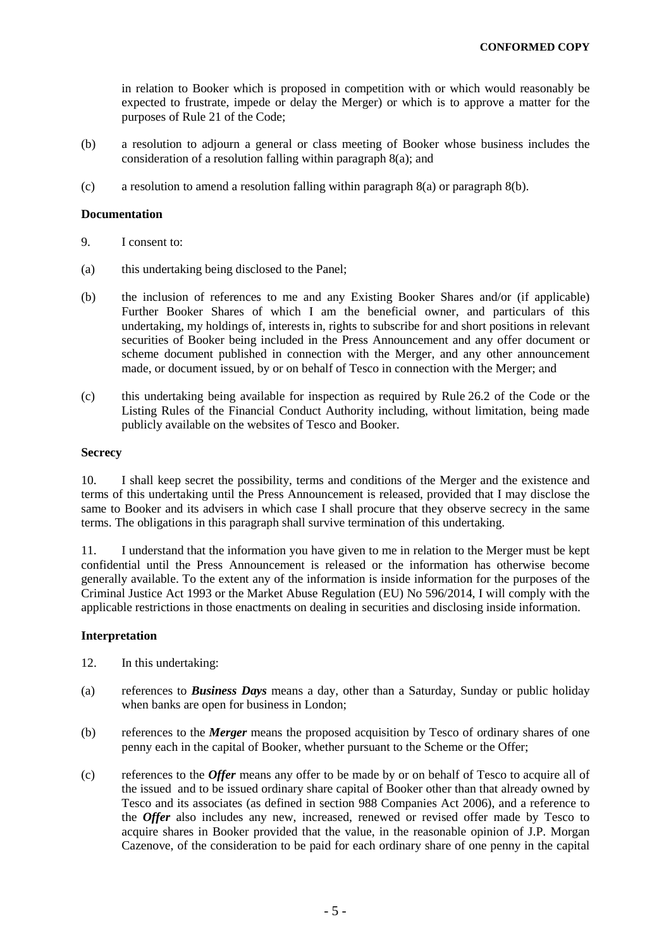in relation to Booker which is proposed in competition with or which would reasonably be expected to frustrate, impede or delay the Merger) or which is to approve a matter for the purposes of Rule 21 of the Code;

- (b) a resolution to adjourn a general or class meeting of Booker whose business includes the consideration of a resolution falling within paragraph [8\(a\);](#page-3-4) and
- (c) a resolution to amend a resolution falling within paragraph  $8(a)$  or paragraph  $8(b)$ .

### **Documentation**

- 9. I consent to:
- (a) this undertaking being disclosed to the Panel;
- (b) the inclusion of references to me and any Existing Booker Shares and/or (if applicable) Further Booker Shares of which I am the beneficial owner, and particulars of this undertaking, my holdings of, interests in, rights to subscribe for and short positions in relevant securities of Booker being included in the Press Announcement and any offer document or scheme document published in connection with the Merger, and any other announcement made, or document issued, by or on behalf of Tesco in connection with the Merger; and
- (c) this undertaking being available for inspection as required by Rule 26.2 of the Code or the Listing Rules of the Financial Conduct Authority including, without limitation, being made publicly available on the websites of Tesco and Booker.

### **Secrecy**

10. I shall keep secret the possibility, terms and conditions of the Merger and the existence and terms of this undertaking until the Press Announcement is released, provided that I may disclose the same to Booker and its advisers in which case I shall procure that they observe secrecy in the same terms. The obligations in this paragraph shall survive termination of this undertaking.

11. I understand that the information you have given to me in relation to the Merger must be kept confidential until the Press Announcement is released or the information has otherwise become generally available. To the extent any of the information is inside information for the purposes of the Criminal Justice Act 1993 or the Market Abuse Regulation (EU) No 596/2014, I will comply with the applicable restrictions in those enactments on dealing in securities and disclosing inside information.

### **Interpretation**

- <span id="page-4-0"></span>12. In this undertaking:
- (a) references to *Business Days* means a day, other than a Saturday, Sunday or public holiday when banks are open for business in London;
- (b) references to the *Merger* means the proposed acquisition by Tesco of ordinary shares of one penny each in the capital of Booker, whether pursuant to the Scheme or the Offer;
- (c) references to the *Offer* means any offer to be made by or on behalf of Tesco to acquire all of the issued and to be issued ordinary share capital of Booker other than that already owned by Tesco and its associates (as defined in section 988 Companies Act 2006), and a reference to the *Offer* also includes any new, increased, renewed or revised offer made by Tesco to acquire shares in Booker provided that the value, in the reasonable opinion of J.P. Morgan Cazenove, of the consideration to be paid for each ordinary share of one penny in the capital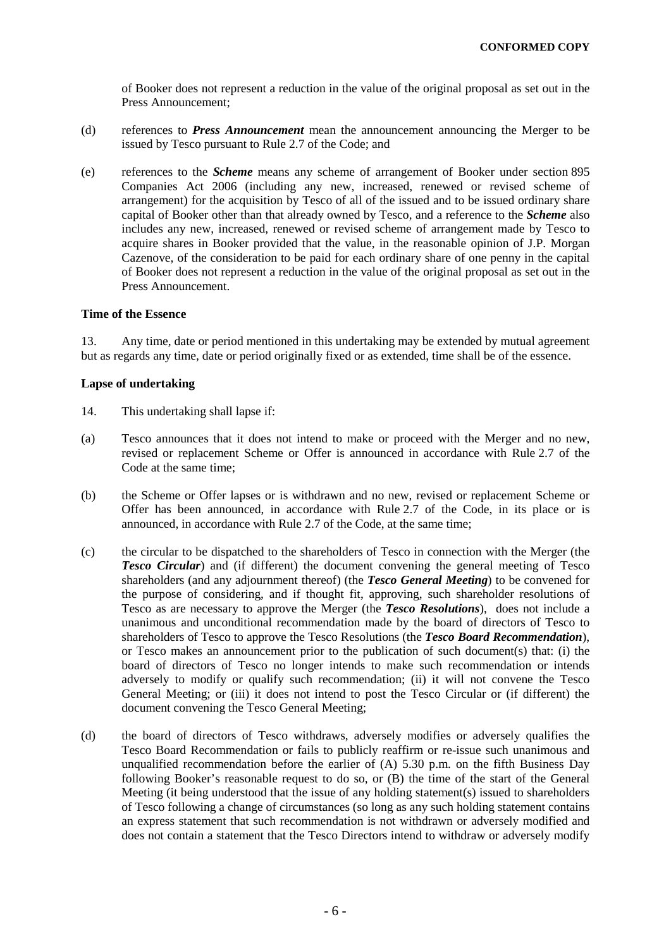of Booker does not represent a reduction in the value of the original proposal as set out in the Press Announcement;

- (d) references to *Press Announcement* mean the announcement announcing the Merger to be issued by Tesco pursuant to Rule 2.7 of the Code; and
- (e) references to the *Scheme* means any scheme of arrangement of Booker under section 895 Companies Act 2006 (including any new, increased, renewed or revised scheme of arrangement) for the acquisition by Tesco of all of the issued and to be issued ordinary share capital of Booker other than that already owned by Tesco, and a reference to the *Scheme* also includes any new, increased, renewed or revised scheme of arrangement made by Tesco to acquire shares in Booker provided that the value, in the reasonable opinion of J.P. Morgan Cazenove, of the consideration to be paid for each ordinary share of one penny in the capital of Booker does not represent a reduction in the value of the original proposal as set out in the Press Announcement.

# **Time of the Essence**

13. Any time, date or period mentioned in this undertaking may be extended by mutual agreement but as regards any time, date or period originally fixed or as extended, time shall be of the essence.

### **Lapse of undertaking**

- <span id="page-5-0"></span>14. This undertaking shall lapse if:
- (a) Tesco announces that it does not intend to make or proceed with the Merger and no new, revised or replacement Scheme or Offer is announced in accordance with Rule 2.7 of the Code at the same time;
- (b) the Scheme or Offer lapses or is withdrawn and no new, revised or replacement Scheme or Offer has been announced, in accordance with Rule 2.7 of the Code, in its place or is announced, in accordance with Rule 2.7 of the Code, at the same time;
- (c) the circular to be dispatched to the shareholders of Tesco in connection with the Merger (the *Tesco Circular*) and (if different) the document convening the general meeting of Tesco shareholders (and any adjournment thereof) (the *Tesco General Meeting*) to be convened for the purpose of considering, and if thought fit, approving, such shareholder resolutions of Tesco as are necessary to approve the Merger (the *Tesco Resolutions*), does not include a unanimous and unconditional recommendation made by the board of directors of Tesco to shareholders of Tesco to approve the Tesco Resolutions (the *Tesco Board Recommendation*), or Tesco makes an announcement prior to the publication of such document(s) that: (i) the board of directors of Tesco no longer intends to make such recommendation or intends adversely to modify or qualify such recommendation; (ii) it will not convene the Tesco General Meeting; or (iii) it does not intend to post the Tesco Circular or (if different) the document convening the Tesco General Meeting;
- (d) the board of directors of Tesco withdraws, adversely modifies or adversely qualifies the Tesco Board Recommendation or fails to publicly reaffirm or re-issue such unanimous and unqualified recommendation before the earlier of  $(A)$  5.30 p.m. on the fifth Business Day following Booker's reasonable request to do so, or (B) the time of the start of the General Meeting (it being understood that the issue of any holding statement(s) issued to shareholders of Tesco following a change of circumstances (so long as any such holding statement contains an express statement that such recommendation is not withdrawn or adversely modified and does not contain a statement that the Tesco Directors intend to withdraw or adversely modify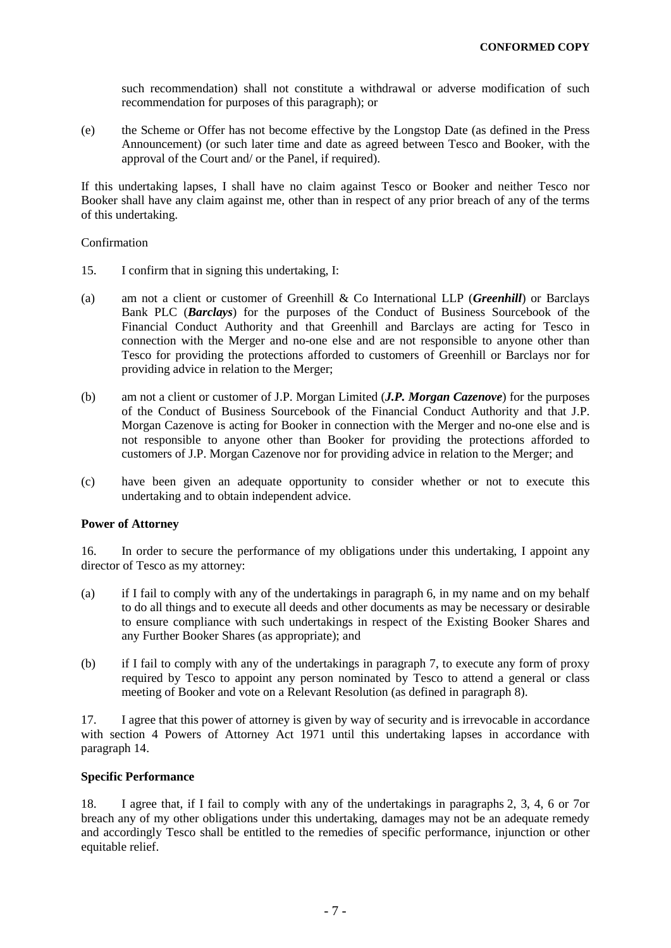such recommendation) shall not constitute a withdrawal or adverse modification of such recommendation for purposes of this paragraph); or

(e) the Scheme or Offer has not become effective by the Longstop Date (as defined in the Press Announcement) (or such later time and date as agreed between Tesco and Booker, with the approval of the Court and/ or the Panel, if required).

If this undertaking lapses, I shall have no claim against Tesco or Booker and neither Tesco nor Booker shall have any claim against me, other than in respect of any prior breach of any of the terms of this undertaking.

### Confirmation

- 15. I confirm that in signing this undertaking, I:
- (a) am not a client or customer of Greenhill & Co International LLP (*Greenhill*) or Barclays Bank PLC (*Barclays*) for the purposes of the Conduct of Business Sourcebook of the Financial Conduct Authority and that Greenhill and Barclays are acting for Tesco in connection with the Merger and no-one else and are not responsible to anyone other than Tesco for providing the protections afforded to customers of Greenhill or Barclays nor for providing advice in relation to the Merger;
- (b) am not a client or customer of J.P. Morgan Limited (*J.P. Morgan Cazenove*) for the purposes of the Conduct of Business Sourcebook of the Financial Conduct Authority and that J.P. Morgan Cazenove is acting for Booker in connection with the Merger and no-one else and is not responsible to anyone other than Booker for providing the protections afforded to customers of J.P. Morgan Cazenove nor for providing advice in relation to the Merger; and
- (c) have been given an adequate opportunity to consider whether or not to execute this undertaking and to obtain independent advice.

# **Power of Attorney**

16. In order to secure the performance of my obligations under this undertaking, I appoint any director of Tesco as my attorney:

- (a) if I fail to comply with any of the undertakings in paragraph [6,](#page-2-0) in my name and on my behalf to do all things and to execute all deeds and other documents as may be necessary or desirable to ensure compliance with such undertakings in respect of the Existing Booker Shares and any Further Booker Shares (as appropriate); and
- (b) if I fail to comply with any of the undertakings in paragraph 7, to execute any form of proxy required by Tesco to appoint any person nominated by Tesco to attend a general or class meeting of Booker and vote on a Relevant Resolution (as defined in paragraph [8\)](#page-3-1).

17. I agree that this power of attorney is given by way of security and is irrevocable in accordance with section 4 Powers of Attorney Act 1971 until this undertaking lapses in accordance with paragraph [14.](#page-5-0)

# **Specific Performance**

18. I agree that, if I fail to comply with any of the undertakings in paragraphs [2,](#page-0-0) [3,](#page-1-4) [4,](#page-1-5) [6](#page-2-0) or [7o](#page-3-5)r breach any of my other obligations under this undertaking, damages may not be an adequate remedy and accordingly Tesco shall be entitled to the remedies of specific performance, injunction or other equitable relief.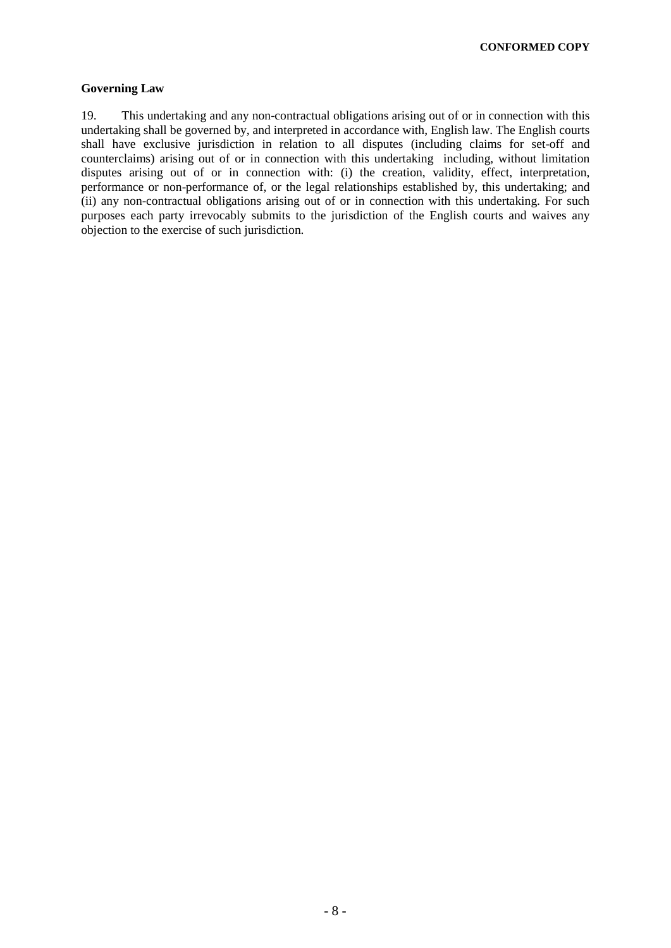**CONFORMED COPY**

# **Governing Law**

19. This undertaking and any non-contractual obligations arising out of or in connection with this undertaking shall be governed by, and interpreted in accordance with, English law. The English courts shall have exclusive jurisdiction in relation to all disputes (including claims for set-off and counterclaims) arising out of or in connection with this undertaking including, without limitation disputes arising out of or in connection with: (i) the creation, validity, effect, interpretation, performance or non-performance of, or the legal relationships established by, this undertaking; and (ii) any non-contractual obligations arising out of or in connection with this undertaking. For such purposes each party irrevocably submits to the jurisdiction of the English courts and waives any objection to the exercise of such jurisdiction.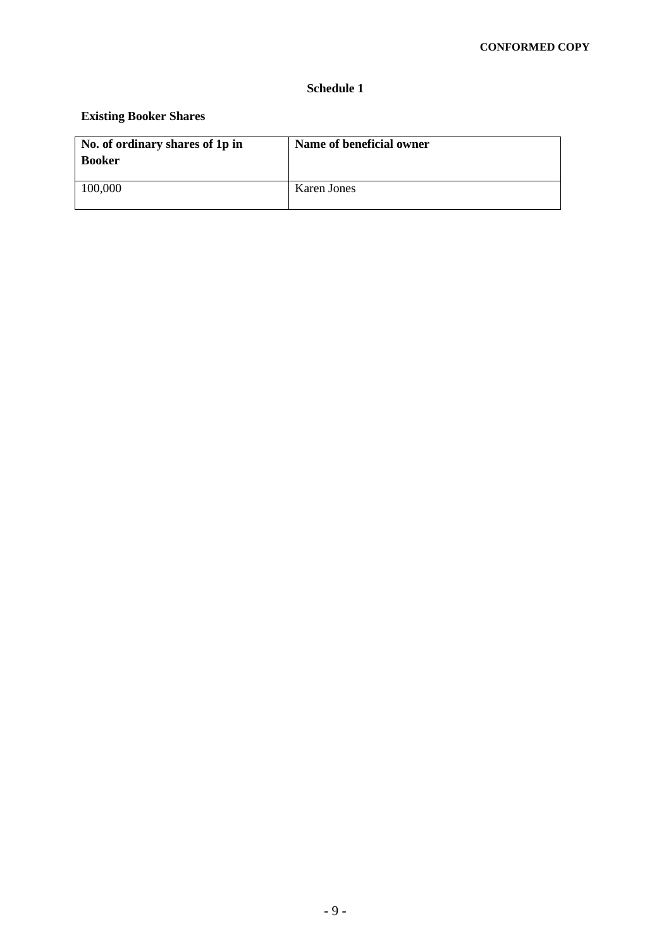# **Schedule 1**

# **Existing Booker Shares**

| No. of ordinary shares of 1p in<br><b>Booker</b> | Name of beneficial owner |
|--------------------------------------------------|--------------------------|
| 100,000                                          | Karen Jones              |